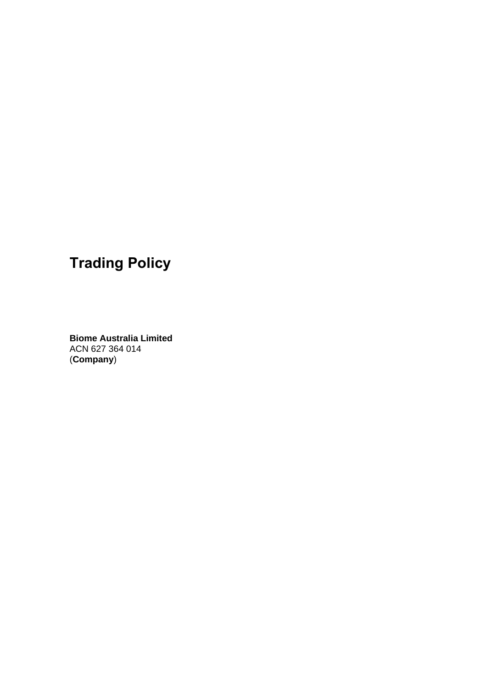# **Trading Policy**

**Biome Australia Limited**  ACN 627 364 014 (**Company**)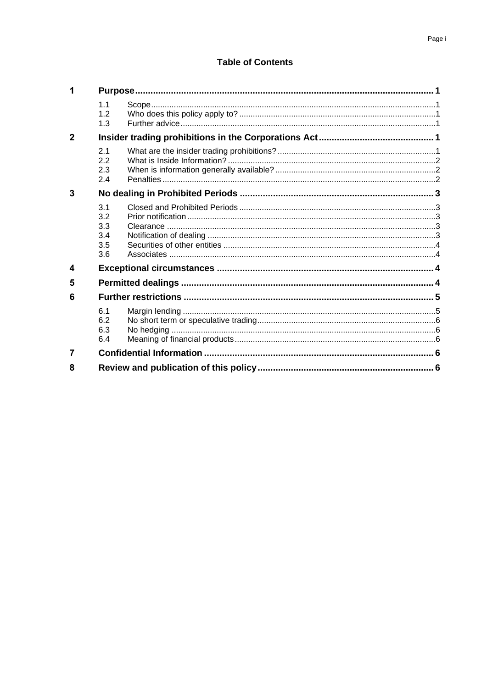# **Table of Contents**

| 1            |                                        |  |  |  |
|--------------|----------------------------------------|--|--|--|
|              | 1.1<br>1.2<br>1.3                      |  |  |  |
| $\mathbf{2}$ |                                        |  |  |  |
|              | 2.1<br>2.2<br>2.3<br>2.4               |  |  |  |
| 3            |                                        |  |  |  |
|              | 3.1<br>3.2<br>3.3<br>3.4<br>3.5<br>3.6 |  |  |  |
| 4            |                                        |  |  |  |
| 5            |                                        |  |  |  |
| 6            |                                        |  |  |  |
|              | 6.1<br>6.2<br>6.3<br>6.4               |  |  |  |
| 7            |                                        |  |  |  |
| 8            |                                        |  |  |  |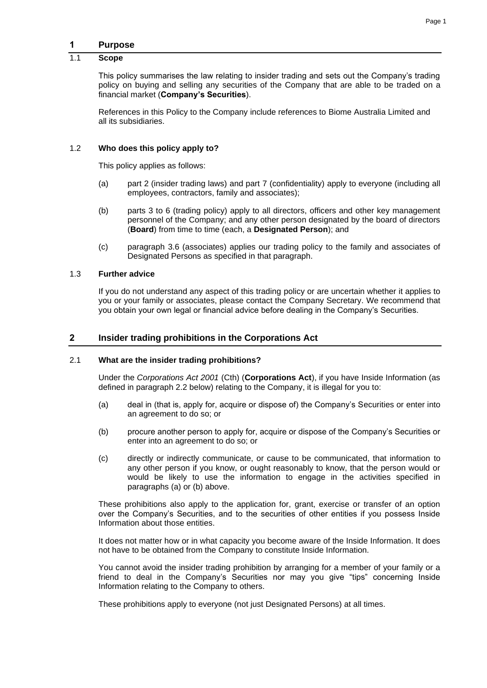## **1 Purpose**

## 1.1 **Scope**

This policy summarises the law relating to insider trading and sets out the Company's trading policy on buying and selling any securities of the Company that are able to be traded on a financial market (**Company's Securities**).

References in this Policy to the Company include references to Biome Australia Limited and all its subsidiaries.

## 1.2 **Who does this policy apply to?**

This policy applies as follows:

- (a) part [2](#page-2-0) (insider trading laws) and part [7](#page-7-0) (confidentiality) apply to everyone (including all employees, contractors, family and associates);
- (b) parts [3](#page-4-0) to [6](#page-6-0) (trading policy) apply to all directors, officers and other key management personnel of the Company; and any other person designated by the board of directors (**Board**) from time to time (each, a **Designated Person**); and
- (c) paragraph [3.6](#page-5-0) (associates) applies our trading policy to the family and associates of Designated Persons as specified in that paragraph.

#### 1.3 **Further advice**

If you do not understand any aspect of this trading policy or are uncertain whether it applies to you or your family or associates, please contact the Company Secretary. We recommend that you obtain your own legal or financial advice before dealing in the Company's Securities.

## <span id="page-2-0"></span>**2 Insider trading prohibitions in the Corporations Act**

#### 2.1 **What are the insider trading prohibitions?**

Under the *Corporations Act 2001* (Cth) (**Corporations Act**), if you have Inside Information (as defined in paragraph [2.2](#page-3-0) below) relating to the Company, it is illegal for you to:

- <span id="page-2-1"></span>(a) deal in (that is, apply for, acquire or dispose of) the Company's Securities or enter into an agreement to do so; or
- <span id="page-2-2"></span>(b) procure another person to apply for, acquire or dispose of the Company's Securities or enter into an agreement to do so; or
- (c) directly or indirectly communicate, or cause to be communicated, that information to any other person if you know, or ought reasonably to know, that the person would or would be likely to use the information to engage in the activities specified in paragraphs [\(a\)](#page-2-1) or [\(b\)](#page-2-2) above.

These prohibitions also apply to the application for, grant, exercise or transfer of an option over the Company's Securities, and to the securities of other entities if you possess Inside Information about those entities.

It does not matter how or in what capacity you become aware of the Inside Information. It does not have to be obtained from the Company to constitute Inside Information.

You cannot avoid the insider trading prohibition by arranging for a member of your family or a friend to deal in the Company's Securities nor may you give "tips" concerning Inside Information relating to the Company to others.

These prohibitions apply to everyone (not just Designated Persons) at all times.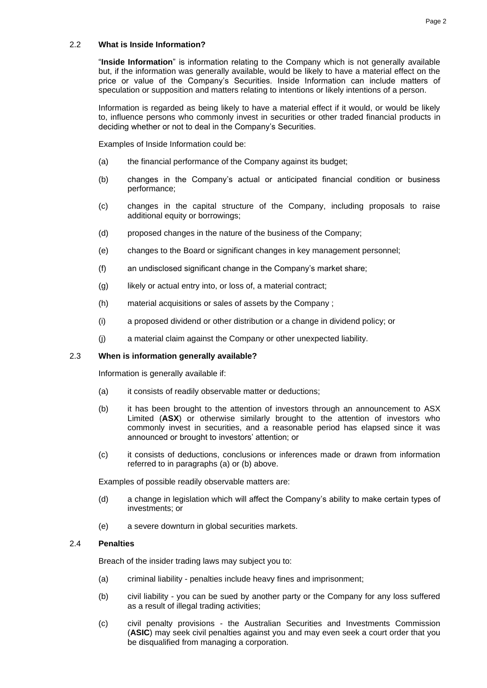## <span id="page-3-0"></span>2.2 **What is Inside Information?**

"**Inside Information**" is information relating to the Company which is not generally available but, if the information was generally available, would be likely to have a material effect on the price or value of the Company's Securities. Inside Information can include matters of speculation or supposition and matters relating to intentions or likely intentions of a person.

Information is regarded as being likely to have a material effect if it would, or would be likely to, influence persons who commonly invest in securities or other traded financial products in deciding whether or not to deal in the Company's Securities.

Examples of Inside Information could be:

- (a) the financial performance of the Company against its budget;
- (b) changes in the Company's actual or anticipated financial condition or business performance;
- (c) changes in the capital structure of the Company, including proposals to raise additional equity or borrowings;
- (d) proposed changes in the nature of the business of the Company;
- (e) changes to the Board or significant changes in key management personnel;
- (f) an undisclosed significant change in the Company's market share;
- (g) likely or actual entry into, or loss of, a material contract;
- (h) material acquisitions or sales of assets by the Company ;
- (i) a proposed dividend or other distribution or a change in dividend policy; or
- (j) a material claim against the Company or other unexpected liability.

## 2.3 **When is information generally available?**

Information is generally available if:

- <span id="page-3-1"></span>(a) it consists of readily observable matter or deductions;
- <span id="page-3-2"></span>(b) it has been brought to the attention of investors through an announcement to ASX Limited (**ASX**) or otherwise similarly brought to the attention of investors who commonly invest in securities, and a reasonable period has elapsed since it was announced or brought to investors' attention; or
- (c) it consists of deductions, conclusions or inferences made or drawn from information referred to in paragraphs [\(a\)](#page-3-1) or [\(b\)](#page-3-2) above.

Examples of possible readily observable matters are:

- (d) a change in legislation which will affect the Company's ability to make certain types of investments; or
- (e) a severe downturn in global securities markets.

## 2.4 **Penalties**

Breach of the insider trading laws may subject you to:

- (a) criminal liability penalties include heavy fines and imprisonment;
- (b) civil liability you can be sued by another party or the Company for any loss suffered as a result of illegal trading activities;
- (c) civil penalty provisions the Australian Securities and Investments Commission (**ASIC**) may seek civil penalties against you and may even seek a court order that you be disqualified from managing a corporation.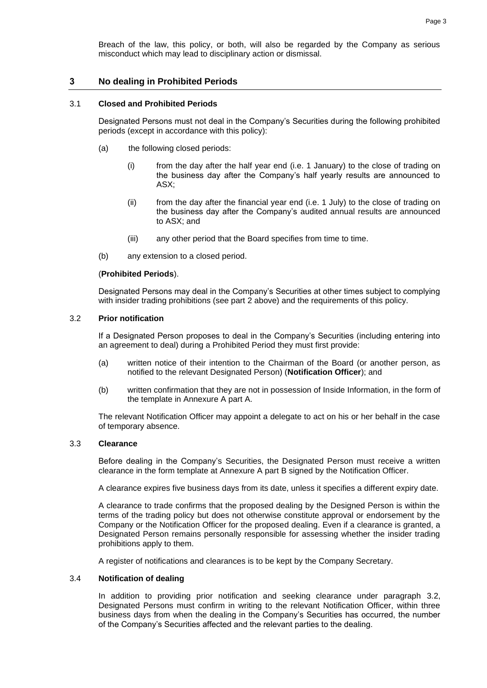Breach of the law, this policy, or both, will also be regarded by the Company as serious misconduct which may lead to disciplinary action or dismissal.

## <span id="page-4-0"></span>**3 No dealing in Prohibited Periods**

#### 3.1 **Closed and Prohibited Periods**

Designated Persons must not deal in the Company's Securities during the following prohibited periods (except in accordance with this policy):

- (a) the following closed periods:
	- (i) from the day after the half year end (i.e. 1 January) to the close of trading on the business day after the Company's half yearly results are announced to ASX;
	- (ii) from the day after the financial year end (i.e. 1 July) to the close of trading on the business day after the Company's audited annual results are announced to ASX; and
	- (iii) any other period that the Board specifies from time to time.
- (b) any extension to a closed period.

#### (**Prohibited Periods**).

Designated Persons may deal in the Company's Securities at other times subject to complying with insider trading prohibitions (see part [2](#page-8-0) above) and the requirements of this policy.

## <span id="page-4-1"></span>3.2 **Prior notification**

If a Designated Person proposes to deal in the Company's Securities (including entering into an agreement to deal) during a Prohibited Period they must first provide:

- (a) written notice of their intention to the Chairman of the Board (or another person, as notified to the relevant Designated Person) (**Notification Officer**); and
- (b) written confirmation that they are not in possession of Inside Information, in the form of the template in [Annexure A](#page-8-1) part A.

The relevant Notification Officer may appoint a delegate to act on his or her behalf in the case of temporary absence.

#### 3.3 **Clearance**

Before dealing in the Company's Securities, the Designated Person must receive a written clearance in the form template at [Annexure A](#page-8-1) part B signed by the Notification Officer.

A clearance expires five business days from its date, unless it specifies a different expiry date.

A clearance to trade confirms that the proposed dealing by the Designed Person is within the terms of the trading policy but does not otherwise constitute approval or endorsement by the Company or the Notification Officer for the proposed dealing. Even if a clearance is granted, a Designated Person remains personally responsible for assessing whether the insider trading prohibitions apply to them.

A register of notifications and clearances is to be kept by the Company Secretary.

#### <span id="page-4-2"></span>3.4 **Notification of dealing**

In addition to providing prior notification and seeking clearance under paragraph [3.2,](#page-4-1) Designated Persons must confirm in writing to the relevant Notification Officer, within three business days from when the dealing in the Company's Securities has occurred, the number of the Company's Securities affected and the relevant parties to the dealing.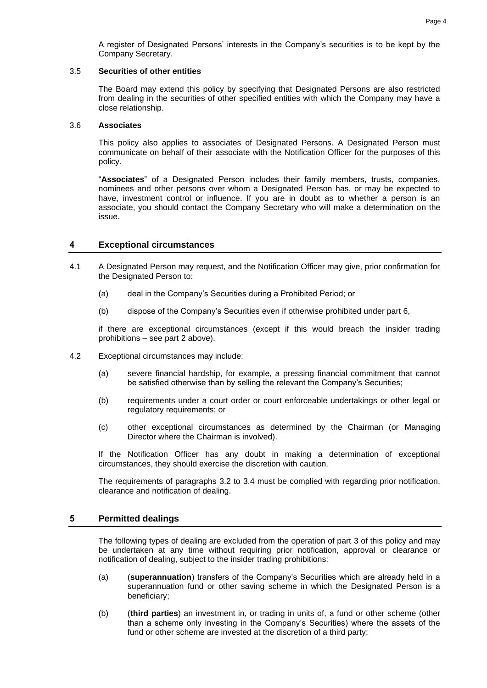A register of Designated Persons' interests in the Company's securities is to be kept by the Company Secretary.

#### 3.5 **Securities of other entities**

The Board may extend this policy by specifying that Designated Persons are also restricted from dealing in the securities of other specified entities with which the Company may have a close relationship.

#### <span id="page-5-0"></span>3.6 **Associates**

This policy also applies to associates of Designated Persons. A Designated Person must communicate on behalf of their associate with the Notification Officer for the purposes of this policy.

"**Associates**" of a Designated Person includes their family members, trusts, companies, nominees and other persons over whom a Designated Person has, or may be expected to have, investment control or influence. If you are in doubt as to whether a person is an associate, you should contact the Company Secretary who will make a determination on the issue.

## **4 Exceptional circumstances**

- 4.1 A Designated Person may request, and the Notification Officer may give, prior confirmation for the Designated Person to:
	- (a) deal in the Company's Securities during a Prohibited Period; or
	- (b) dispose of the Company's Securities even if otherwise prohibited under part 6,

if there are exceptional circumstances (except if this would breach the insider trading prohibitions – see part [2](#page-2-0) above).

- 4.2 Exceptional circumstances may include:
	- (a) severe financial hardship, for example, a pressing financial commitment that cannot be satisfied otherwise than by selling the relevant the Company's Securities;
	- (b) requirements under a court order or court enforceable undertakings or other legal or regulatory requirements; or
	- (c) other exceptional circumstances as determined by the Chairman (or Managing Director where the Chairman is involved).

If the Notification Officer has any doubt in making a determination of exceptional circumstances, they should exercise the discretion with caution.

The requirements of paragraphs [3.2](#page-4-1) to [3.4](#page-4-2) must be complied with regarding prior notification, clearance and notification of dealing.

## **5 Permitted dealings**

The following types of dealing are excluded from the operation of part [3](#page-4-0) of this policy and may be undertaken at any time without requiring prior notification, approval or clearance or notification of dealing, subject to the insider trading prohibitions:

- (a) (**superannuation**) transfers of the Company's Securities which are already held in a superannuation fund or other saving scheme in which the Designated Person is a beneficiary;
- (b) (**third parties**) an investment in, or trading in units of, a fund or other scheme (other than a scheme only investing in the Company's Securities) where the assets of the fund or other scheme are invested at the discretion of a third party;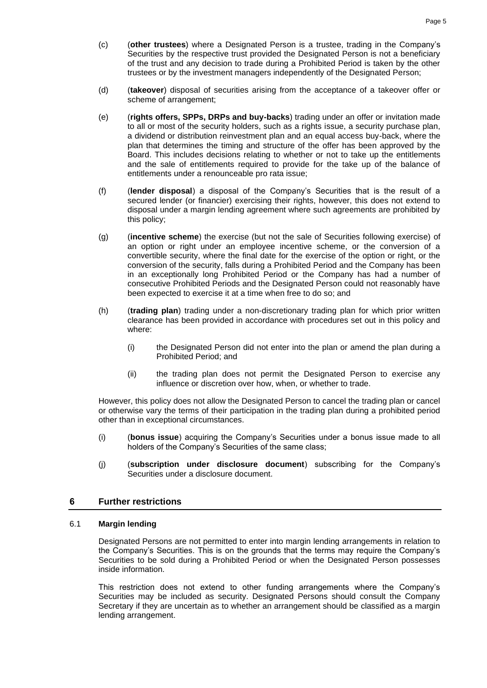- (c) (**other trustees**) where a Designated Person is a trustee, trading in the Company's Securities by the respective trust provided the Designated Person is not a beneficiary of the trust and any decision to trade during a Prohibited Period is taken by the other trustees or by the investment managers independently of the Designated Person;
- (d) (**takeover**) disposal of securities arising from the acceptance of a takeover offer or scheme of arrangement;
- (e) (**rights offers, SPPs, DRPs and buy-backs**) trading under an offer or invitation made to all or most of the security holders, such as a rights issue, a security purchase plan, a dividend or distribution reinvestment plan and an equal access buy-back, where the plan that determines the timing and structure of the offer has been approved by the Board. This includes decisions relating to whether or not to take up the entitlements and the sale of entitlements required to provide for the take up of the balance of entitlements under a renounceable pro rata issue;
- (f) (**lender disposal**) a disposal of the Company's Securities that is the result of a secured lender (or financier) exercising their rights, however, this does not extend to disposal under a margin lending agreement where such agreements are prohibited by this policy;
- (g) (**incentive scheme**) the exercise (but not the sale of Securities following exercise) of an option or right under an employee incentive scheme, or the conversion of a convertible security, where the final date for the exercise of the option or right, or the conversion of the security, falls during a Prohibited Period and the Company has been in an exceptionally long Prohibited Period or the Company has had a number of consecutive Prohibited Periods and the Designated Person could not reasonably have been expected to exercise it at a time when free to do so; and
- (h) (**trading plan**) trading under a non-discretionary trading plan for which prior written clearance has been provided in accordance with procedures set out in this policy and where:
	- (i) the Designated Person did not enter into the plan or amend the plan during a Prohibited Period; and
	- (ii) the trading plan does not permit the Designated Person to exercise any influence or discretion over how, when, or whether to trade.

However, this policy does not allow the Designated Person to cancel the trading plan or cancel or otherwise vary the terms of their participation in the trading plan during a prohibited period other than in exceptional circumstances.

- (i) (**bonus issue**) acquiring the Company's Securities under a bonus issue made to all holders of the Company's Securities of the same class;
- (j) (**subscription under disclosure document**) subscribing for the Company's Securities under a disclosure document.

## <span id="page-6-0"></span>**6 Further restrictions**

#### 6.1 **Margin lending**

Designated Persons are not permitted to enter into margin lending arrangements in relation to the Company's Securities. This is on the grounds that the terms may require the Company's Securities to be sold during a Prohibited Period or when the Designated Person possesses inside information.

This restriction does not extend to other funding arrangements where the Company's Securities may be included as security. Designated Persons should consult the Company Secretary if they are uncertain as to whether an arrangement should be classified as a margin lending arrangement.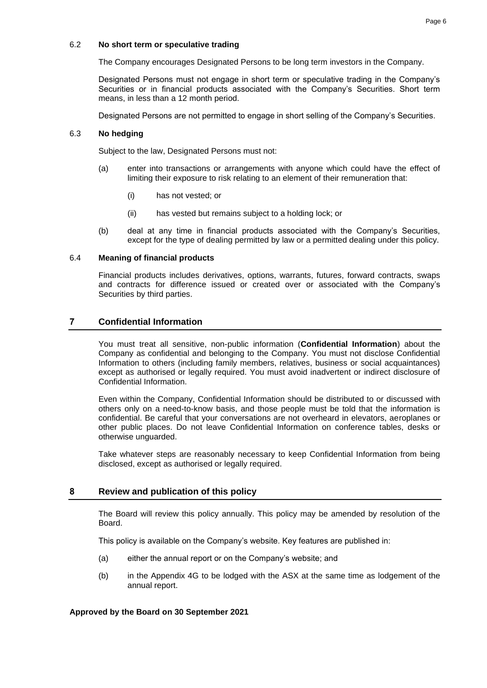## 6.2 **No short term or speculative trading**

The Company encourages Designated Persons to be long term investors in the Company.

Designated Persons must not engage in short term or speculative trading in the Company's Securities or in financial products associated with the Company's Securities. Short term means, in less than a 12 month period.

Designated Persons are not permitted to engage in short selling of the Company's Securities.

## 6.3 **No hedging**

Subject to the law, Designated Persons must not:

- (a) enter into transactions or arrangements with anyone which could have the effect of limiting their exposure to risk relating to an element of their remuneration that:
	- (i) has not vested; or
	- (ii) has vested but remains subject to a holding lock; or
- (b) deal at any time in financial products associated with the Company's Securities, except for the type of dealing permitted by law or a permitted dealing under this policy.

## 6.4 **Meaning of financial products**

Financial products includes derivatives, options, warrants, futures, forward contracts, swaps and contracts for difference issued or created over or associated with the Company's Securities by third parties.

# <span id="page-7-0"></span>**7 Confidential Information**

You must treat all sensitive, non-public information (**Confidential Information**) about the Company as confidential and belonging to the Company. You must not disclose Confidential Information to others (including family members, relatives, business or social acquaintances) except as authorised or legally required. You must avoid inadvertent or indirect disclosure of Confidential Information.

Even within the Company, Confidential Information should be distributed to or discussed with others only on a need-to-know basis, and those people must be told that the information is confidential. Be careful that your conversations are not overheard in elevators, aeroplanes or other public places. Do not leave Confidential Information on conference tables, desks or otherwise unguarded.

Take whatever steps are reasonably necessary to keep Confidential Information from being disclosed, except as authorised or legally required.

# **8 Review and publication of this policy**

The Board will review this policy annually. This policy may be amended by resolution of the Board.

This policy is available on the Company's website. Key features are published in:

- (a) either the annual report or on the Company's website; and
- (b) in the Appendix 4G to be lodged with the ASX at the same time as lodgement of the annual report.

## **Approved by the Board on 30 September 2021**